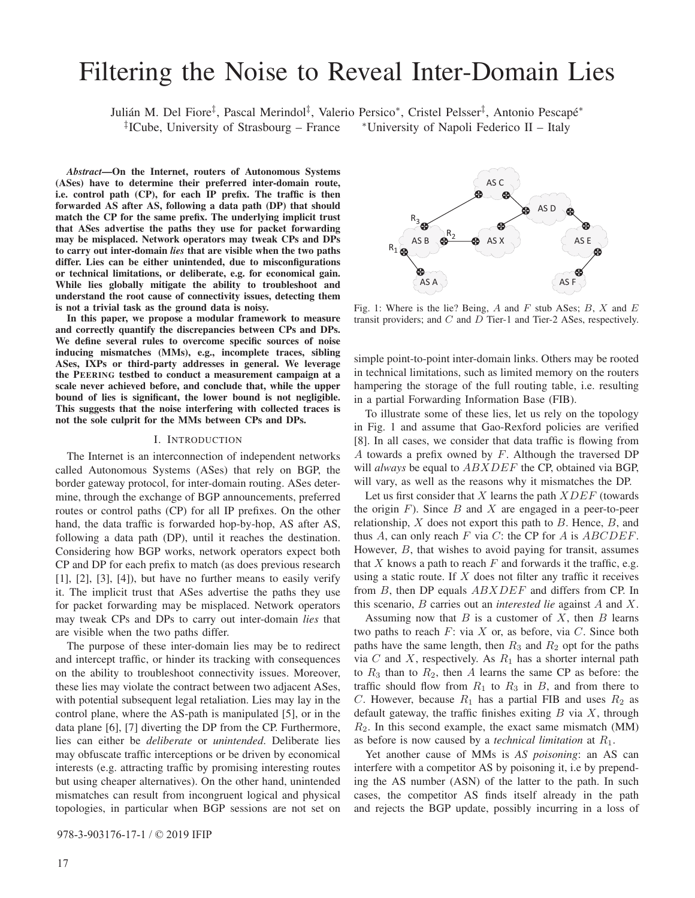# Filtering the Noise to Reveal Inter-Domain Lies

Julián M. Del Fiore<sup>‡</sup>, Pascal Merindol<sup>‡</sup>, Valerio Persico<sup>\*</sup>, Cristel Pelsser<sup>‡</sup>, Antonio Pescapé<sup>\*</sup>

‡ICube, University of Strasbourg – France ∗University of Napoli Federico II – Italy

*Abstract*—On the Internet, routers of Autonomous Systems (ASes) have to determine their preferred inter-domain route, i.e. control path (CP), for each IP prefix. The traffic is then forwarded AS after AS, following a data path (DP) that should match the CP for the same prefix. The underlying implicit trust that ASes advertise the paths they use for packet forwarding may be misplaced. Network operators may tweak CPs and DPs to carry out inter-domain *lies* that are visible when the two paths differ. Lies can be either unintended, due to misconfigurations or technical limitations, or deliberate, e.g. for economical gain. While lies globally mitigate the ability to troubleshoot and understand the root cause of connectivity issues, detecting them is not a trivial task as the ground data is noisy.

In this paper, we propose a modular framework to measure and correctly quantify the discrepancies between CPs and DPs. We define several rules to overcome specific sources of noise inducing mismatches (MMs), e.g., incomplete traces, sibling ASes, IXPs or third-party addresses in general. We leverage the PEERING testbed to conduct a measurement campaign at a scale never achieved before, and conclude that, while the upper bound of lies is significant, the lower bound is not negligible. This suggests that the noise interfering with collected traces is not the sole culprit for the MMs between CPs and DPs.

## I. INTRODUCTION

The Internet is an interconnection of independent networks called Autonomous Systems (ASes) that rely on BGP, the border gateway protocol, for inter-domain routing. ASes determine, through the exchange of BGP announcements, preferred routes or control paths (CP) for all IP prefixes. On the other hand, the data traffic is forwarded hop-by-hop, AS after AS, following a data path (DP), until it reaches the destination. Considering how BGP works, network operators expect both CP and DP for each prefix to match (as does previous research  $[1]$ ,  $[2]$ ,  $[3]$ ,  $[4]$ ), but have no further means to easily verify it. The implicit trust that ASes advertise the paths they use for packet forwarding may be misplaced. Network operators may tweak CPs and DPs to carry out inter-domain *lies* that are visible when the two paths differ.

The purpose of these inter-domain lies may be to redirect and intercept traffic, or hinder its tracking with consequences on the ability to troubleshoot connectivity issues. Moreover, these lies may violate the contract between two adjacent ASes, with potential subsequent legal retaliation. Lies may lay in the control plane, where the AS-path is manipulated [5], or in the data plane [6], [7] diverting the DP from the CP. Furthermore, lies can either be *deliberate* or *unintended*. Deliberate lies may obfuscate traffic interceptions or be driven by economical interests (e.g. attracting traffic by promising interesting routes but using cheaper alternatives). On the other hand, unintended mismatches can result from incongruent logical and physical topologies, in particular when BGP sessions are not set on

978-3-903176-17-1 / © 2019 IFIP



Fig. 1: Where is the lie? Being, A and F stub ASes; B, X and E transit providers; and C and D Tier-1 and Tier-2 ASes, respectively.

simple point-to-point inter-domain links. Others may be rooted in technical limitations, such as limited memory on the routers hampering the storage of the full routing table, i.e. resulting in a partial Forwarding Information Base (FIB).

To illustrate some of these lies, let us rely on the topology in Fig. 1 and assume that Gao-Rexford policies are verified [8]. In all cases, we consider that data traffic is flowing from A towards a prefix owned by  $F$ . Although the traversed DP will *always* be equal to ABXDEF the CP, obtained via BGP, will vary, as well as the reasons why it mismatches the DP.

Let us first consider that  $X$  learns the path  $XDEF$  (towards the origin  $F$ ). Since  $B$  and  $X$  are engaged in a peer-to-peer relationship,  $X$  does not export this path to  $B$ . Hence,  $B$ , and thus  $A$ , can only reach  $F$  via  $C$ : the CP for  $A$  is  $ABCDEF$ . However, B, that wishes to avoid paying for transit, assumes that  $X$  knows a path to reach  $F$  and forwards it the traffic, e.g. using a static route. If  $X$  does not filter any traffic it receives from  $B$ , then DP equals  $ABXDEF$  and differs from CP. In this scenario, B carries out an *interested lie* against A and X.

Assuming now that  $B$  is a customer of  $X$ , then  $B$  learns two paths to reach  $F$ : via  $X$  or, as before, via  $C$ . Since both paths have the same length, then  $R_3$  and  $R_2$  opt for the paths via C and X, respectively. As  $R_1$  has a shorter internal path to  $R_3$  than to  $R_2$ , then A learns the same CP as before: the traffic should flow from  $R_1$  to  $R_3$  in B, and from there to C. However, because  $R_1$  has a partial FIB and uses  $R_2$  as default gateway, the traffic finishes exiting  $B$  via  $X$ , through  $R_2$ . In this second example, the exact same mismatch (MM) as before is now caused by a *technical limitation* at R1.

Yet another cause of MMs is *AS poisoning*: an AS can interfere with a competitor AS by poisoning it, i.e by prepending the AS number (ASN) of the latter to the path. In such cases, the competitor AS finds itself already in the path and rejects the BGP update, possibly incurring in a loss of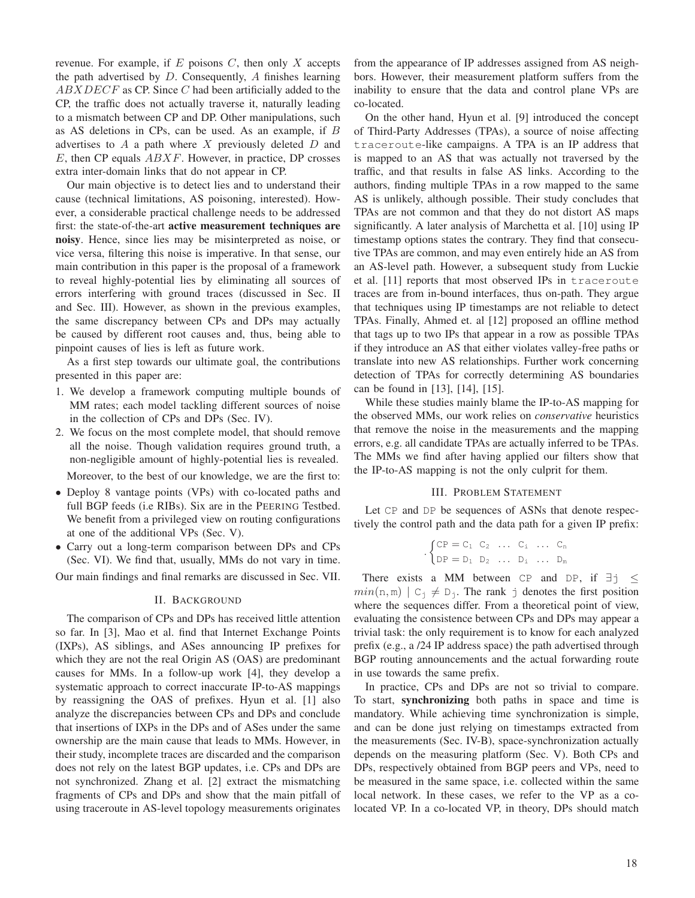revenue. For example, if  $E$  poisons  $C$ , then only  $X$  accepts the path advertised by  $D$ . Consequently,  $A$  finishes learning ABXDECF as CP. Since C had been artificially added to the CP, the traffic does not actually traverse it, naturally leading to a mismatch between CP and DP. Other manipulations, such as AS deletions in CPs, can be used. As an example, if B advertises to  $A$  a path where  $X$  previously deleted  $D$  and  $E$ , then CP equals  $ABXF$ . However, in practice, DP crosses extra inter-domain links that do not appear in CP.

Our main objective is to detect lies and to understand their cause (technical limitations, AS poisoning, interested). However, a considerable practical challenge needs to be addressed first: the state-of-the-art active measurement techniques are noisy. Hence, since lies may be misinterpreted as noise, or vice versa, filtering this noise is imperative. In that sense, our main contribution in this paper is the proposal of a framework to reveal highly-potential lies by eliminating all sources of errors interfering with ground traces (discussed in Sec. II and Sec. III). However, as shown in the previous examples, the same discrepancy between CPs and DPs may actually be caused by different root causes and, thus, being able to pinpoint causes of lies is left as future work.

As a first step towards our ultimate goal, the contributions presented in this paper are:

- 1. We develop a framework computing multiple bounds of MM rates; each model tackling different sources of noise in the collection of CPs and DPs (Sec. IV).
- 2. We focus on the most complete model, that should remove all the noise. Though validation requires ground truth, a non-negligible amount of highly-potential lies is revealed. Moreover, to the best of our knowledge, we are the first to:
- Deploy 8 vantage points (VPs) with co-located paths and full BGP feeds (i.e RIBs). Six are in the PEERING Testbed. We benefit from a privileged view on routing configurations at one of the additional VPs (Sec. V).
- Carry out a long-term comparison between DPs and CPs (Sec. VI). We find that, usually, MMs do not vary in time.

Our main findings and final remarks are discussed in Sec. VII.

## II. BACKGROUND

The comparison of CPs and DPs has received little attention so far. In [3], Mao et al. find that Internet Exchange Points (IXPs), AS siblings, and ASes announcing IP prefixes for which they are not the real Origin AS (OAS) are predominant causes for MMs. In a follow-up work [4], they develop a systematic approach to correct inaccurate IP-to-AS mappings by reassigning the OAS of prefixes. Hyun et al. [1] also analyze the discrepancies between CPs and DPs and conclude that insertions of IXPs in the DPs and of ASes under the same ownership are the main cause that leads to MMs. However, in their study, incomplete traces are discarded and the comparison does not rely on the latest BGP updates, i.e. CPs and DPs are not synchronized. Zhang et al. [2] extract the mismatching fragments of CPs and DPs and show that the main pitfall of using traceroute in AS-level topology measurements originates from the appearance of IP addresses assigned from AS neighbors. However, their measurement platform suffers from the inability to ensure that the data and control plane VPs are co-located.

On the other hand, Hyun et al. [9] introduced the concept of Third-Party Addresses (TPAs), a source of noise affecting traceroute-like campaigns. A TPA is an IP address that is mapped to an AS that was actually not traversed by the traffic, and that results in false AS links. According to the authors, finding multiple TPAs in a row mapped to the same AS is unlikely, although possible. Their study concludes that TPAs are not common and that they do not distort AS maps significantly. A later analysis of Marchetta et al. [10] using IP timestamp options states the contrary. They find that consecutive TPAs are common, and may even entirely hide an AS from an AS-level path. However, a subsequent study from Luckie et al. [11] reports that most observed IPs in traceroute traces are from in-bound interfaces, thus on-path. They argue that techniques using IP timestamps are not reliable to detect TPAs. Finally, Ahmed et. al [12] proposed an offline method that tags up to two IPs that appear in a row as possible TPAs if they introduce an AS that either violates valley-free paths or translate into new AS relationships. Further work concerning detection of TPAs for correctly determining AS boundaries can be found in [13], [14], [15].

While these studies mainly blame the IP-to-AS mapping for the observed MMs, our work relies on *conservative* heuristics that remove the noise in the measurements and the mapping errors, e.g. all candidate TPAs are actually inferred to be TPAs. The MMs we find after having applied our filters show that the IP-to-AS mapping is not the only culprit for them.

# III. PROBLEM STATEMENT

Let CP and DP be sequences of ASNs that denote respectively the control path and the data path for a given IP prefix:

$$
\cdot \left\{ \begin{matrix} CP = C_1 \;\; C_2 \;\; \ldots \;\; C_i \;\; \ldots \;\; C_n \\ DP = D_1 \;\; D_2 \;\; \ldots \;\; D_i \;\; \ldots \;\; D_m \end{matrix} \right.
$$

There exists a MM between CP and DP, if  $\exists j \leq$  $min(n, m) \mid C_j \neq D_j$ . The rank j denotes the first position<br>where the sequences differ From a theoretical point of view where the sequences differ. From a theoretical point of view, evaluating the consistence between CPs and DPs may appear a trivial task: the only requirement is to know for each analyzed prefix (e.g., a /24 IP address space) the path advertised through BGP routing announcements and the actual forwarding route in use towards the same prefix.

In practice, CPs and DPs are not so trivial to compare. To start, synchronizing both paths in space and time is mandatory. While achieving time synchronization is simple, and can be done just relying on timestamps extracted from the measurements (Sec. IV-B), space-synchronization actually depends on the measuring platform (Sec. V). Both CPs and DPs, respectively obtained from BGP peers and VPs, need to be measured in the same space, i.e. collected within the same local network. In these cases, we refer to the VP as a colocated VP. In a co-located VP, in theory, DPs should match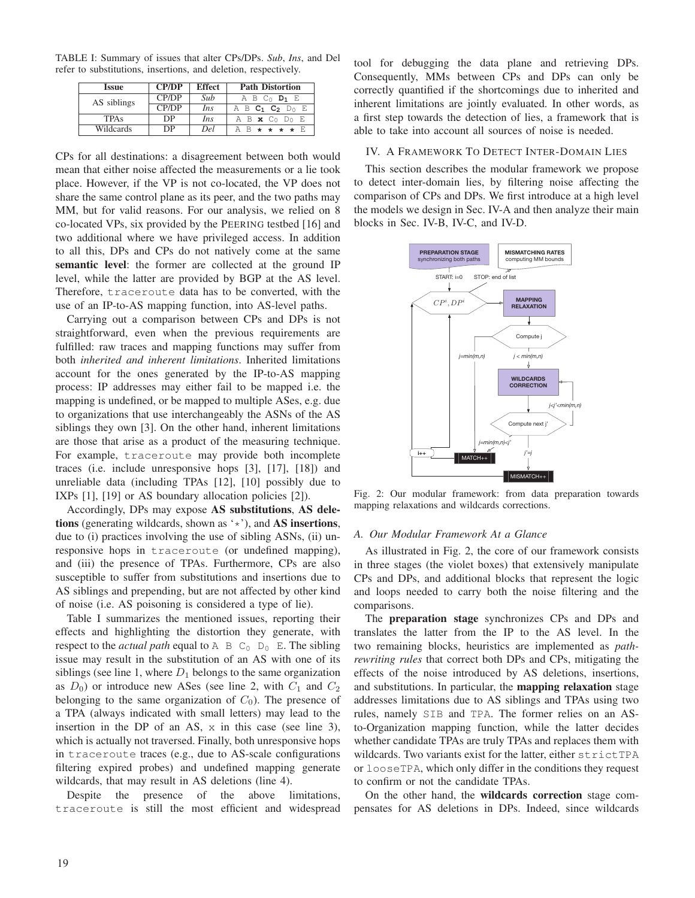TABLE I: Summary of issues that alter CPs/DPs. *Sub*, *Ins*, and Del refer to substitutions, insertions, and deletion, respectively.

| <i><b>Issue</b></i> | <b>CP/DP</b> | <b>Effect</b>   | <b>Path Distortion</b>                           |
|---------------------|--------------|-----------------|--------------------------------------------------|
| AS siblings         | CP/DP        | Sub             | $A \ B \ C_0 \ D_1 \ E$                          |
|                     | CP/DP        | In <sub>s</sub> | A B $C_1$ $C_2$ $D_0$ E                          |
| <b>TPAs</b>         | DР           | <i>Ins</i>      | A B $\mathbf{x}$ C <sub>0</sub> D <sub>0</sub> E |
| Wildcards           | DР           | Del             | A B * * * * E                                    |

CPs for all destinations: a disagreement between both would mean that either noise affected the measurements or a lie took place. However, if the VP is not co-located, the VP does not share the same control plane as its peer, and the two paths may MM, but for valid reasons. For our analysis, we relied on 8 co-located VPs, six provided by the PEERING testbed [16] and two additional where we have privileged access. In addition to all this, DPs and CPs do not natively come at the same semantic level: the former are collected at the ground IP level, while the latter are provided by BGP at the AS level. Therefore, traceroute data has to be converted, with the use of an IP-to-AS mapping function, into AS-level paths.

Carrying out a comparison between CPs and DPs is not straightforward, even when the previous requirements are fulfilled: raw traces and mapping functions may suffer from both *inherited and inherent limitations*. Inherited limitations account for the ones generated by the IP-to-AS mapping process: IP addresses may either fail to be mapped i.e. the mapping is undefined, or be mapped to multiple ASes, e.g. due to organizations that use interchangeably the ASNs of the AS siblings they own [3]. On the other hand, inherent limitations are those that arise as a product of the measuring technique. For example, traceroute may provide both incomplete traces (i.e. include unresponsive hops [3], [17], [18]) and unreliable data (including TPAs [12], [10] possibly due to IXPs [1], [19] or AS boundary allocation policies [2]).

Accordingly, DPs may expose AS substitutions, AS deletions (generating wildcards, shown as  $\langle \cdot, \cdot \rangle$ ), and **AS** insertions, due to (i) practices involving the use of sibling ASNs, (ii) unresponsive hops in traceroute (or undefined mapping), and (iii) the presence of TPAs. Furthermore, CPs are also susceptible to suffer from substitutions and insertions due to AS siblings and prepending, but are not affected by other kind of noise (i.e. AS poisoning is considered a type of lie).

Table I summarizes the mentioned issues, reporting their effects and highlighting the distortion they generate, with respect to the *actual path* equal to  $A \text{ } B \text{ } C_0 \text{ } D_0 \text{ } E$ . The sibling issue may result in the substitution of an AS with one of its siblings (see line 1, where  $D_1$  belongs to the same organization as  $D_0$ ) or introduce new ASes (see line 2, with  $C_1$  and  $C_2$ belonging to the same organization of  $C_0$ ). The presence of a TPA (always indicated with small letters) may lead to the insertion in the DP of an AS, x in this case (see line 3), which is actually not traversed. Finally, both unresponsive hops in traceroute traces (e.g., due to AS-scale configurations filtering expired probes) and undefined mapping generate wildcards, that may result in AS deletions (line 4).

Despite the presence of the above limitations, traceroute is still the most efficient and widespread tool for debugging the data plane and retrieving DPs. Consequently, MMs between CPs and DPs can only be correctly quantified if the shortcomings due to inherited and inherent limitations are jointly evaluated. In other words, as a first step towards the detection of lies, a framework that is able to take into account all sources of noise is needed.

## IV. A FRAMEWORK TO DETECT INTER-DOMAIN LIES

This section describes the modular framework we propose to detect inter-domain lies, by filtering noise affecting the comparison of CPs and DPs. We first introduce at a high level the models we design in Sec. IV-A and then analyze their main blocks in Sec. IV-B, IV-C, and IV-D.



Fig. 2: Our modular framework: from data preparation towards mapping relaxations and wildcards corrections.

#### *A. Our Modular Framework At a Glance*

As illustrated in Fig. 2, the core of our framework consists in three stages (the violet boxes) that extensively manipulate CPs and DPs, and additional blocks that represent the logic and loops needed to carry both the noise filtering and the comparisons.

The preparation stage synchronizes CPs and DPs and translates the latter from the IP to the AS level. In the two remaining blocks, heuristics are implemented as *pathrewriting rules* that correct both DPs and CPs, mitigating the effects of the noise introduced by AS deletions, insertions, and substitutions. In particular, the **mapping relaxation** stage addresses limitations due to AS siblings and TPAs using two rules, namely SIB and TPA. The former relies on an ASto-Organization mapping function, while the latter decides whether candidate TPAs are truly TPAs and replaces them with wildcards. Two variants exist for the latter, either strictTPA or looseTPA, which only differ in the conditions they request to confirm or not the candidate TPAs.

On the other hand, the wildcards correction stage compensates for AS deletions in DPs. Indeed, since wildcards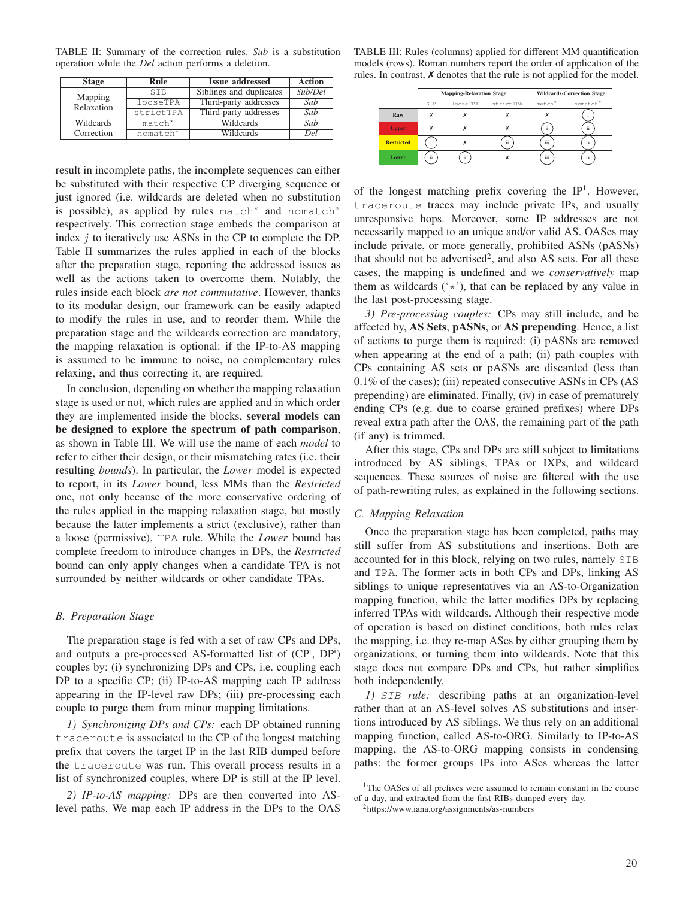TABLE II: Summary of the correction rules. *Sub* is a substitution operation while the *Del* action performs a deletion.

| <b>Stage</b> | Rule                 | <b>Issue addressed</b>  | <b>Action</b> |
|--------------|----------------------|-------------------------|---------------|
| Mapping      | <b>STB</b>           | Siblings and duplicates | Sub/Del       |
| Relaxation   | looseTPA             | Third-party addresses   | Sub           |
|              | strictTPA            | Third-party addresses   | Sub           |
| Wildcards    | $match*$             | Wildcards               | Sub           |
| Correction   | nomatch <sup>*</sup> | Wildcards               | Del           |

result in incomplete paths, the incomplete sequences can either be substituted with their respective CP diverging sequence or just ignored (i.e. wildcards are deleted when no substitution is possible), as applied by rules match<sup>\*</sup> and nomatch<sup>\*</sup> respectively. This correction stage embeds the comparison at index  $j$  to iteratively use ASNs in the CP to complete the DP. Table II summarizes the rules applied in each of the blocks after the preparation stage, reporting the addressed issues as well as the actions taken to overcome them. Notably, the rules inside each block *are not commutative*. However, thanks to its modular design, our framework can be easily adapted to modify the rules in use, and to reorder them. While the preparation stage and the wildcards correction are mandatory, the mapping relaxation is optional: if the IP-to-AS mapping is assumed to be immune to noise, no complementary rules relaxing, and thus correcting it, are required.

In conclusion, depending on whether the mapping relaxation stage is used or not, which rules are applied and in which order they are implemented inside the blocks, several models can be designed to explore the spectrum of path comparison, as shown in Table III. We will use the name of each *model* to refer to either their design, or their mismatching rates (i.e. their resulting *bounds*). In particular, the *Lower* model is expected to report, in its *Lower* bound, less MMs than the *Restricted* one, not only because of the more conservative ordering of the rules applied in the mapping relaxation stage, but mostly because the latter implements a strict (exclusive), rather than a loose (permissive), TPA rule. While the *Lower* bound has complete freedom to introduce changes in DPs, the *Restricted* bound can only apply changes when a candidate TPA is not surrounded by neither wildcards or other candidate TPAs.

# *B. Preparation Stage*

The preparation stage is fed with a set of raw CPs and DPs, and outputs a pre-processed AS-formatted list of (CP<sup>i</sup>, DP<sup>i</sup>) couples by: (i) synchronizing DPs and CPs, i.e. coupling each DP to a specific CP; (ii) IP-to-AS mapping each IP address appearing in the IP-level raw DPs; (iii) pre-processing each couple to purge them from minor mapping limitations.

*1) Synchronizing DPs and CPs:* each DP obtained running traceroute is associated to the CP of the longest matching prefix that covers the target IP in the last RIB dumped before the traceroute was run. This overall process results in a list of synchronized couples, where DP is still at the IP level.

*2) IP-to-AS mapping:* DPs are then converted into ASlevel paths. We map each IP address in the DPs to the OAS

TABLE III: Rules (columns) applied for different MM quantification models (rows). Roman numbers report the order of application of the rules. In contrast, ✗ denotes that the rule is not applied for the model.

|                   | <b>Mapping-Relaxation Stage</b> |  | <b>Wildcards-Correction Stage</b> |           |                      |
|-------------------|---------------------------------|--|-----------------------------------|-----------|----------------------|
|                   | SIB                             |  | looseTPA strictTPA                | $match^*$ | nomatch <sup>*</sup> |
| Raw               | X                               |  |                                   |           |                      |
| <b>Upper</b>      |                                 |  |                                   |           | $\ddotsc$<br>n       |
| <b>Restricted</b> |                                 |  | ii                                | iii       | 1V                   |
| Lower             | $\sim$<br>$\overline{11}$       |  |                                   | iii       | 1V                   |

of the longest matching prefix covering the  $IP<sup>1</sup>$ . However, traceroute traces may include private IPs, and usually unresponsive hops. Moreover, some IP addresses are not necessarily mapped to an unique and/or valid AS. OASes may include private, or more generally, prohibited ASNs (pASNs) that should not be advertised<sup>2</sup>, and also AS sets. For all these cases, the mapping is undefined and we *conservatively* map them as wildcards  $(*')$ , that can be replaced by any value in the last post-processing stage.

*3) Pre-processing couples:* CPs may still include, and be affected by, AS Sets, pASNs, or AS prepending. Hence, a list of actions to purge them is required: (i) pASNs are removed when appearing at the end of a path; (ii) path couples with CPs containing AS sets or pASNs are discarded (less than 0.1% of the cases); (iii) repeated consecutive ASNs in CPs (AS prepending) are eliminated. Finally, (iv) in case of prematurely ending CPs (e.g. due to coarse grained prefixes) where DPs reveal extra path after the OAS, the remaining part of the path (if any) is trimmed.

After this stage, CPs and DPs are still subject to limitations introduced by AS siblings, TPAs or IXPs, and wildcard sequences. These sources of noise are filtered with the use of path-rewriting rules, as explained in the following sections.

## *C. Mapping Relaxation*

Once the preparation stage has been completed, paths may still suffer from AS substitutions and insertions. Both are accounted for in this block, relying on two rules, namely SIB and TPA. The former acts in both CPs and DPs, linking AS siblings to unique representatives via an AS-to-Organization mapping function, while the latter modifies DPs by replacing inferred TPAs with wildcards. Although their respective mode of operation is based on distinct conditions, both rules relax the mapping, i.e. they re-map ASes by either grouping them by organizations, or turning them into wildcards. Note that this stage does not compare DPs and CPs, but rather simplifies both independently.

*1)* SIB *rule:* describing paths at an organization-level rather than at an AS-level solves AS substitutions and insertions introduced by AS siblings. We thus rely on an additional mapping function, called AS-to-ORG. Similarly to IP-to-AS mapping, the AS-to-ORG mapping consists in condensing paths: the former groups IPs into ASes whereas the latter

<sup>&</sup>lt;sup>1</sup>The OASes of all prefixes were assumed to remain constant in the course of a day, and extracted from the first RIBs dumped every day.

<sup>2</sup>https://www.iana.org/assignments/as-numbers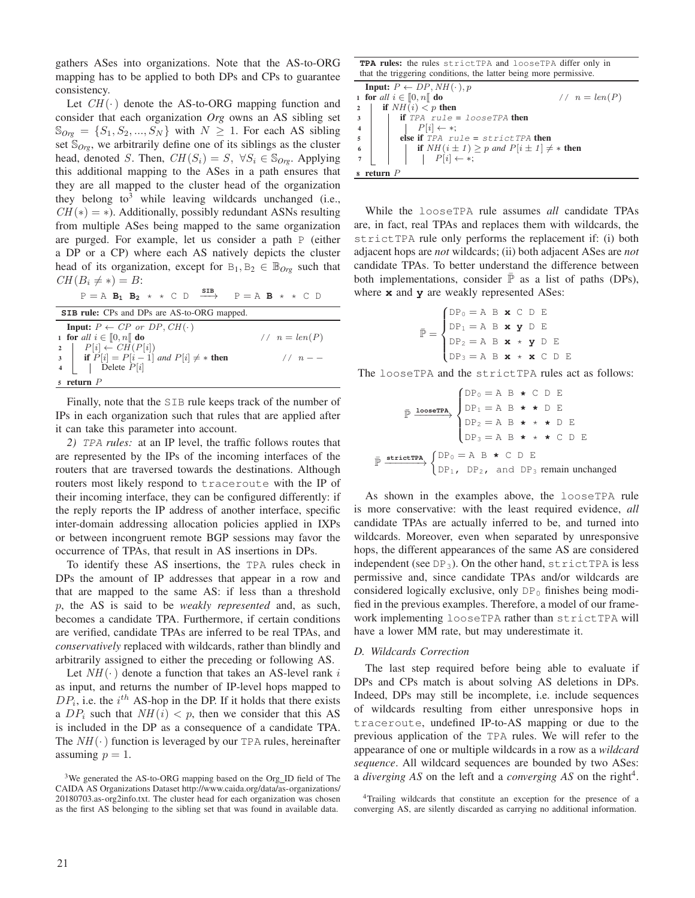gathers ASes into organizations. Note that the AS-to-ORG mapping has to be applied to both DPs and CPs to guarantee consistency.

Let  $CH(\cdot)$  denote the AS-to-ORG mapping function and consider that each organization *Org* owns an AS sibling set  $\mathbb{S}_{Org} = \{S_1, S_2, ..., S_N\}$  with  $N \geq 1$ . For each AS sibling set  $\mathcal{S}_{Org}$ , we arbitrarily define one of its siblings as the cluster head, denoted S. Then,  $CH(S_i) = S$ ,  $\forall S_i \in \mathbb{S}_{Org}$ . Applying this additional mapping to the ASes in a path ensures that they are all mapped to the cluster head of the organization they belong to<sup>3</sup> while leaving wildcards unchanged (i.e.,  $CH(*) = *$ ). Additionally, possibly redundant ASNs resulting from multiple ASes being mapped to the same organization are purged. For example, let us consider a path P (either a DP or a CP) where each AS natively depicts the cluster head of its organization, except for  $B_1, B_2 \in \mathbb{B}_{Org}$  such that  $CH(B_i \neq *) = B:$ 

| $P = A \t B_1 \t B_2 \t \t \t \t \t CD \t \xrightarrow{\text{SIB}} \t P = A \t B \t \t \t \t \t CD$                                                                                                                                                                                                              |                                                  |
|------------------------------------------------------------------------------------------------------------------------------------------------------------------------------------------------------------------------------------------------------------------------------------------------------------------|--------------------------------------------------|
| <b>SIB rule:</b> CPs and DPs are AS-to-ORG mapped.                                                                                                                                                                                                                                                               |                                                  |
| <b>Input:</b> $P \leftarrow CP$ or $DP$ , $CH(\cdot)$<br>1 for all $i \in [0, n[$ do<br>2 $P[i] \leftarrow CH(P[i])$<br>$\begin{array}{c}\n\mathbf{i} \quad \mathbf{j} \quad \mathbf{if} \quad P[i] = P[i-1] \text{ and } P[i] \neq * \text{ then} \\ \mathbf{4} \quad   \quad \text{Delete } P[i]\n\end{array}$ | // $n = len(P)$<br>$\frac{1}{n}$ $\frac{n-1}{n}$ |
| $\mathbf{s}$ return $P$                                                                                                                                                                                                                                                                                          |                                                  |

Finally, note that the SIB rule keeps track of the number of IPs in each organization such that rules that are applied after it can take this parameter into account.

*2)* TPA *rules:* at an IP level, the traffic follows routes that are represented by the IPs of the incoming interfaces of the routers that are traversed towards the destinations. Although routers most likely respond to traceroute with the IP of their incoming interface, they can be configured differently: if the reply reports the IP address of another interface, specific inter-domain addressing allocation policies applied in IXPs or between incongruent remote BGP sessions may favor the occurrence of TPAs, that result in AS insertions in DPs.

To identify these AS insertions, the TPA rules check in DPs the amount of IP addresses that appear in a row and that are mapped to the same AS: if less than a threshold p, the AS is said to be *weakly represented* and, as such, becomes a candidate TPA. Furthermore, if certain conditions are verified, candidate TPAs are inferred to be real TPAs, and *conservatively* replaced with wildcards, rather than blindly and arbitrarily assigned to either the preceding or following AS.

Let  $NH(\cdot)$  denote a function that takes an AS-level rank i as input, and returns the number of IP-level hops mapped to  $DP_i$ , i.e. the  $i^{th}$  AS-hop in the DP. If it holds that there exists a  $DP<sub>i</sub>$  such that  $NH(i) < p$ , then we consider that this AS is included in the DP as a consequence of a candidate TPA. The  $NH(\cdot)$  function is leveraged by our TPA rules, hereinafter assuming  $p = 1$ .

**TPA** rules: the rules strictTPA and looseTPA differ only in that the triggering conditions, the latter being more permissive.

|             |                          | <b>Input:</b> $P \leftarrow DP, NH(\cdot), p$                                            |                 |  |  |
|-------------|--------------------------|------------------------------------------------------------------------------------------|-----------------|--|--|
|             |                          | 1 for all $i \in [0, n]$ do                                                              | // $n = len(P)$ |  |  |
|             |                          | 2   if $NH(i) < p$ then                                                                  |                 |  |  |
|             |                          |                                                                                          |                 |  |  |
|             |                          | 3     <b>if</b> $TPA \text{ rule} = LooseTPA \text{ then}$<br>4     $P[i] \leftarrow *;$ |                 |  |  |
| $5^{\circ}$ |                          | <b>else if</b> $TPA$ rule = strictTPA then                                               |                 |  |  |
|             |                          |                                                                                          |                 |  |  |
|             |                          |                                                                                          |                 |  |  |
|             | $\bf{s}$ return $\bf{P}$ |                                                                                          |                 |  |  |

While the looseTPA rule assumes *all* candidate TPAs are, in fact, real TPAs and replaces them with wildcards, the strictTPA rule only performs the replacement if: (i) both adjacent hops are *not* wildcards; (ii) both adjacent ASes are *not* candidate TPAs. To better understand the difference between both implementations, consider  $\overline{P}$  as a list of paths (DPs), where **x** and **y** are weakly represented ASes:

$$
\bar{\mathbb{P}} = \begin{cases}\n\mathsf{DP}_0 = \mathsf{A} & \mathsf{B} \times \mathsf{C} \mathsf{D} \mathsf{E} \\
\mathsf{DP}_1 = \mathsf{A} & \mathsf{B} \times \mathsf{Y} \mathsf{D} \mathsf{E} \\
\mathsf{DP}_2 = \mathsf{A} & \mathsf{B} \times \star \mathsf{Y} \mathsf{D} \mathsf{E} \\
\mathsf{DP}_3 = \mathsf{A} & \mathsf{B} \times \star \times \mathsf{C} \mathsf{D} \mathsf{E}\n\end{cases}
$$

The looseTPA and the strictTPA rules act as follows:

$$
\overline{\mathbb{P}} \xrightarrow{\text{looseTPA}} \begin{cases} \text{DP}_0 = \text{A} \text{ B} \star \text{ C} \text{ D} \text{ E} \\ \text{DP}_1 = \text{A} \text{ B} \star \star \text{ D} \text{ E} \\ \text{DP}_2 = \text{A} \text{ B} \star \star \star \text{ D} \text{ E} \\ \text{DP}_3 = \text{A} \text{ B} \star \star \star \text{ C} \text{ D} \text{ E} \end{cases}
$$
\n
$$
\overline{\mathbb{P}} \xrightarrow{\text{strictTPA}} \begin{cases} \text{DP}_0 = \text{A} \text{ B} \star \text{ C} \text{ D} \text{ E} \\ \text{DP}_1, \text{ DP}_2, \text{ and DP}_3 \text{ remain unchanged} \end{cases}
$$

As shown in the examples above, the looseTPA rule is more conservative: with the least required evidence, *all* candidate TPAs are actually inferred to be, and turned into wildcards. Moreover, even when separated by unresponsive hops, the different appearances of the same AS are considered independent (see  $DP_3$ ). On the other hand, strictTPA is less permissive and, since candidate TPAs and/or wildcards are considered logically exclusive, only  $DP_0$  finishes being modified in the previous examples. Therefore, a model of our framework implementing looseTPA rather than strictTPA will have a lower MM rate, but may underestimate it.

## *D. Wildcards Correction*

The last step required before being able to evaluate if DPs and CPs match is about solving AS deletions in DPs. Indeed, DPs may still be incomplete, i.e. include sequences of wildcards resulting from either unresponsive hops in traceroute, undefined IP-to-AS mapping or due to the previous application of the TPA rules. We will refer to the appearance of one or multiple wildcards in a row as a *wildcard sequence*. All wildcard sequences are bounded by two ASes: a *diverging AS* on the left and a *converging AS* on the right<sup>4</sup>.

 $3$ We generated the AS-to-ORG mapping based on the Org ID field of The CAIDA AS Organizations Dataset http://www.caida.org/data/as-organizations/ 20180703.as-org2info.txt. The cluster head for each organization was chosen as the first AS belonging to the sibling set that was found in available data.

<sup>4</sup>Trailing wildcards that constitute an exception for the presence of a converging AS, are silently discarded as carrying no additional information.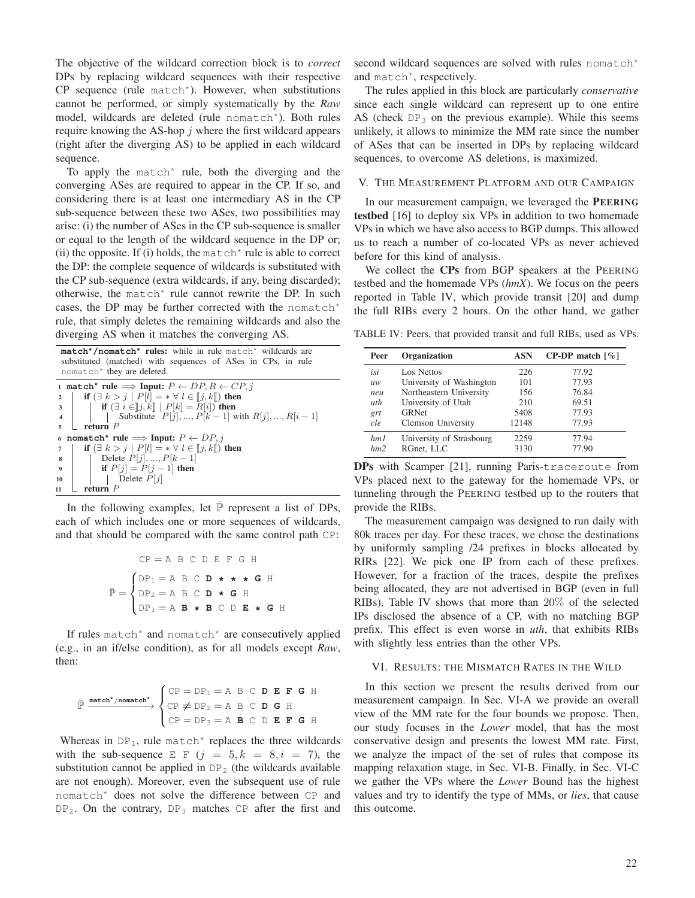The objective of the wildcard correction block is to *correct* DPs by replacing wildcard sequences with their respective CP sequence (rule match\*). However, when substitutions cannot be performed, or simply systematically by the *Raw* model, wildcards are deleted (rule nomatch\*). Both rules require knowing the AS-hop  $j$  where the first wildcard appears (right after the diverging AS) to be applied in each wildcard sequence.

To apply the match<sup>\*</sup> rule, both the diverging and the converging ASes are required to appear in the CP. If so, and considering there is at least one intermediary AS in the CP sub-sequence between these two ASes, two possibilities may arise: (i) the number of ASes in the CP sub-sequence is smaller or equal to the length of the wildcard sequence in the DP or; (ii) the opposite. If (i) holds, the match<sup>\*</sup> rule is able to correct the DP: the complete sequence of wildcards is substituted with the CP sub-sequence (extra wildcards, if any, being discarded); otherwise, the match\* rule cannot rewrite the DP. In such cases, the DP may be further corrected with the nomatch<sup>\*</sup> rule, that simply deletes the remaining wildcards and also the diverging AS when it matches the converging AS.

**match\*/nomatch\*** rules: while in rule match\* wildcards are substituted (matched) with sequences of ASes in CPs, in rule nomatch\* they are deleted.

|                | 1 match* rule $\Rightarrow$ Input: $P \leftarrow DP, R \leftarrow CP, j$ |
|----------------|--------------------------------------------------------------------------|
| $\overline{2}$ | if $(\exists k > j \mid P[l] = * \forall l \in [j,k])$ then              |
|                | if $(\exists i \in ]j,k]$   $P[k] = R[i]$ then<br>$3 \mid$               |
|                | 4<br>Substitute $P[j], , P[k-1]$ with $R[j], , R[i-1]$                   |
|                | return $P$                                                               |
| 6              | nomatch* rule $\implies$ Input: $P \leftarrow DP$ , j                    |
|                | if $(\exists k > j \mid P[l] = * \forall l \in [j,k])$ then              |
| 8              | Delete $P[j], , P[k-1]$                                                  |
| $\overline{9}$ | <b>if</b> $P[j] = P[j-1]$ then                                           |
| 10             | Delete $P[i]$                                                            |
| 11             | return $P$                                                               |

In the following examples, let  $\mathbb P$  represent a list of DPs, each of which includes one or more sequences of wildcards, and that should be compared with the same control path CP:

$$
CP = A B C D E F G H
$$
\n
$$
\overline{P} = \begin{cases}\nDP_1 = A B C D \star \star \star \star G H \\
DP_2 = A B C D \star G H \\
DP_3 = A B \star B C D E \star G H\n\end{cases}
$$

If rules match<sup>\*</sup> and nomatch<sup>\*</sup> are consecutively applied (e.g., in an if/else condition), as for all models except *Raw*, then:

$$
\overline{\mathbb{P}} \xrightarrow{\texttt{match*}/\texttt{nomatch*}} \begin{cases} \mathbb{CP} = \mathbb{DP}_1 = \mathbb{A} \ \mathbb{B} \ \mathbb{C} \ \mathbf{D} \ \mathbf{E} \ \mathbf{F} \ \mathbf{G} \ \mathbb{H} \\ \mathbb{CP} \neq \mathbb{DP}_2 = \mathbb{A} \ \mathbb{B} \ \mathbb{C} \ \mathbf{D} \ \mathbf{G} \ \mathbb{H} \\ \mathbb{CP} = \mathbb{DP}_3 = \mathbb{A} \ \mathbf{B} \ \mathbb{C} \ \mathbb{D} \ \mathbf{E} \ \mathbf{F} \ \mathbf{G} \ \mathbb{H} \end{cases}
$$

Whereas in  $DP_1$ , rule match<sup>\*</sup> replaces the three wildcards with the sub-sequence E F  $(j = 5, k = 8, i = 7)$ , the substitution cannot be applied in  $DP<sub>2</sub>$  (the wildcards available are not enough). Moreover, even the subsequent use of rule nomatch\* does not solve the difference between CP and  $DP<sub>2</sub>$ . On the contrary,  $DP<sub>3</sub>$  matches CP after the first and second wildcard sequences are solved with rules nomatch<sup>\*</sup> and match\*, respectively.

The rules applied in this block are particularly *conservative* since each single wildcard can represent up to one entire AS (check  $DP_3$  on the previous example). While this seems unlikely, it allows to minimize the MM rate since the number of ASes that can be inserted in DPs by replacing wildcard sequences, to overcome AS deletions, is maximized.

# V. THE MEASUREMENT PLATFORM AND OUR CAMPAIGN

In our measurement campaign, we leveraged the PEERING testbed [16] to deploy six VPs in addition to two homemade VPs in which we have also access to BGP dumps. This allowed us to reach a number of co-located VPs as never achieved before for this kind of analysis.

We collect the CPs from BGP speakers at the PEERING testbed and the homemade VPs (*hmX*). We focus on the peers reported in Table IV, which provide transit [20] and dump the full RIBs every 2 hours. On the other hand, we gather

TABLE IV: Peers, that provided transit and full RIBs, used as VPs.

| Peer | Organization             | ASN   | CP-DP match $\lceil \% \rceil$ |
|------|--------------------------|-------|--------------------------------|
| isi  | Los Nettos               | 226   | 77.92                          |
| uw   | University of Washington | 101   | 77.93                          |
| neu  | Northeastern University  | 156   | 76.84                          |
| uth  | University of Utah       | 210   | 69.51                          |
| grt  | <b>GRNet</b>             | 5408  | 77.93                          |
| cle  | Clemson University       | 12148 | 77.93                          |
| hml  | University of Strasbourg | 2259  | 77.94                          |
| hm2  | RGnet, LLC               | 3130  | 77.90                          |

DPs with Scamper [21], running Paris-traceroute from VPs placed next to the gateway for the homemade VPs, or tunneling through the PEERING testbed up to the routers that provide the RIBs.

The measurement campaign was designed to run daily with 80k traces per day. For these traces, we chose the destinations by uniformly sampling /24 prefixes in blocks allocated by RIRs [22]. We pick one IP from each of these prefixes. However, for a fraction of the traces, despite the prefixes being allocated, they are not advertised in BGP (even in full RIBs). Table IV shows that more than 20% of the selected IPs disclosed the absence of a CP, with no matching BGP prefix. This effect is even worse in *uth*, that exhibits RIBs with slightly less entries than the other VPs.

# VI. RESULTS: THE MISMATCH RATES IN THE WILD

In this section we present the results derived from our measurement campaign. In Sec. VI-A we provide an overall view of the MM rate for the four bounds we propose. Then, our study focuses in the *Lower* model, that has the most conservative design and presents the lowest MM rate. First, we analyze the impact of the set of rules that compose its mapping relaxation stage, in Sec. VI-B. Finally, in Sec. VI-C we gather the VPs where the *Lower* Bound has the highest values and try to identify the type of MMs, or *lies*, that cause this outcome.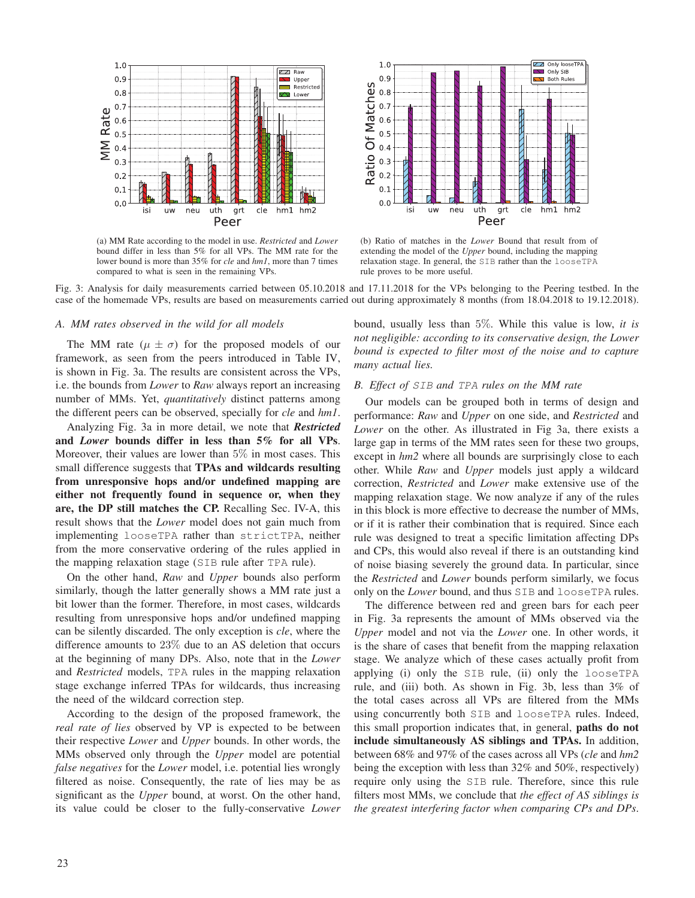

(a) MM Rate according to the model in use. *Restricted* and *Lower* bound differ in less than 5% for all VPs. The MM rate for the lower bound is more than 35% for *cle* and *hm1*, more than 7 times compared to what is seen in the remaining VPs.



(b) Ratio of matches in the *Lower* Bound that result from of extending the model of the *Upper* bound, including the mapping relaxation stage. In general, the SIB rather than the looseTPA rule proves to be more useful.

Fig. 3: Analysis for daily measurements carried between 05.10.2018 and 17.11.2018 for the VPs belonging to the Peering testbed. In the case of the homemade VPs, results are based on measurements carried out during approximately 8 months (from 18.04.2018 to 19.12.2018).

# *A. MM rates observed in the wild for all models*

The MM rate  $(\mu \pm \sigma)$  for the proposed models of our framework, as seen from the peers introduced in Table IV, is shown in Fig. 3a. The results are consistent across the VPs, i.e. the bounds from *Lower* to *Raw* always report an increasing number of MMs. Yet, *quantitatively* distinct patterns among the different peers can be observed, specially for *cle* and *hm1*.

Analyzing Fig. 3a in more detail, we note that *Restricted* and *Lower* bounds differ in less than 5% for all VPs. Moreover, their values are lower than 5% in most cases. This small difference suggests that TPAs and wildcards resulting from unresponsive hops and/or undefined mapping are either not frequently found in sequence or, when they are, the DP still matches the CP. Recalling Sec. IV-A, this result shows that the *Lower* model does not gain much from implementing looseTPA rather than strictTPA, neither from the more conservative ordering of the rules applied in the mapping relaxation stage (SIB rule after TPA rule).

On the other hand, *Raw* and *Upper* bounds also perform similarly, though the latter generally shows a MM rate just a bit lower than the former. Therefore, in most cases, wildcards resulting from unresponsive hops and/or undefined mapping can be silently discarded. The only exception is *cle*, where the difference amounts to 23% due to an AS deletion that occurs at the beginning of many DPs. Also, note that in the *Lower* and *Restricted* models, TPA rules in the mapping relaxation stage exchange inferred TPAs for wildcards, thus increasing the need of the wildcard correction step.

According to the design of the proposed framework, the *real rate of lies* observed by VP is expected to be between their respective *Lower* and *Upper* bounds. In other words, the MMs observed only through the *Upper* model are potential *false negatives* for the *Lower* model, i.e. potential lies wrongly filtered as noise. Consequently, the rate of lies may be as significant as the *Upper* bound, at worst. On the other hand, its value could be closer to the fully-conservative *Lower* bound, usually less than 5%. While this value is low, *it is not negligible: according to its conservative design, the Lower bound is expected to filter most of the noise and to capture many actual lies.*

# *B. Effect of* SIB *and* TPA *rules on the MM rate*

Our models can be grouped both in terms of design and performance: *Raw* and *Upper* on one side, and *Restricted* and *Lower* on the other. As illustrated in Fig 3a, there exists a large gap in terms of the MM rates seen for these two groups, except in  $hm2$  where all bounds are surprisingly close to each other. While *Raw* and *Upper* models just apply a wildcard correction, *Restricted* and *Lower* make extensive use of the mapping relaxation stage. We now analyze if any of the rules in this block is more effective to decrease the number of MMs, or if it is rather their combination that is required. Since each rule was designed to treat a specific limitation affecting DPs and CPs, this would also reveal if there is an outstanding kind of noise biasing severely the ground data. In particular, since the *Restricted* and *Lower* bounds perform similarly, we focus only on the *Lower* bound, and thus SIB and looseTPA rules.

The difference between red and green bars for each peer in Fig. 3a represents the amount of MMs observed via the *Upper* model and not via the *Lower* one. In other words, it is the share of cases that benefit from the mapping relaxation stage. We analyze which of these cases actually profit from applying (i) only the SIB rule, (ii) only the looseTPA rule, and (iii) both. As shown in Fig. 3b, less than 3% of the total cases across all VPs are filtered from the MMs using concurrently both SIB and looseTPA rules. Indeed, this small proportion indicates that, in general, paths do not include simultaneously AS siblings and TPAs. In addition, between 68% and 97% of the cases across all VPs (*cle* and *hm2* being the exception with less than 32% and 50%, respectively) require only using the SIB rule. Therefore, since this rule filters most MMs, we conclude that *the effect of AS siblings is the greatest interfering factor when comparing CPs and DPs*.